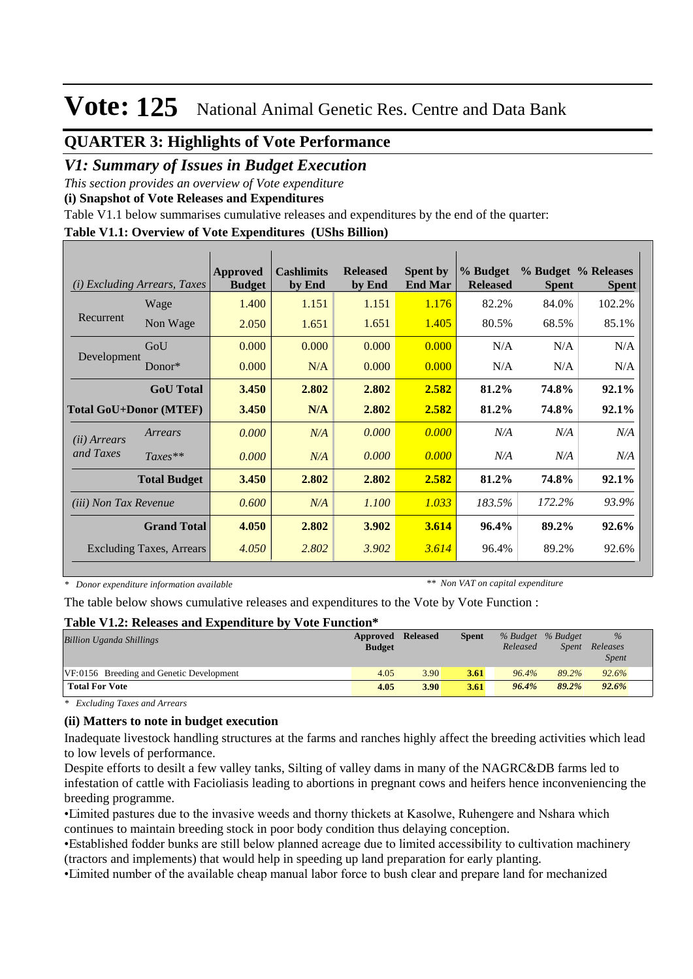### **QUARTER 3: Highlights of Vote Performance**

### *V1: Summary of Issues in Budget Execution*

*This section provides an overview of Vote expenditure* 

**(i) Snapshot of Vote Releases and Expenditures**

Table V1.1 below summarises cumulative releases and expenditures by the end of the quarter:

#### **Table V1.1: Overview of Vote Expenditures (UShs Billion)**

| (i)                          | <i>Excluding Arrears, Taxes</i> | <b>Approved</b><br><b>Budget</b> | <b>Cashlimits</b><br>by End | <b>Released</b><br>by End | <b>Spent by</b><br><b>End Mar</b> | % Budget<br><b>Released</b> | <b>Spent</b> | % Budget % Releases<br><b>Spent</b> |
|------------------------------|---------------------------------|----------------------------------|-----------------------------|---------------------------|-----------------------------------|-----------------------------|--------------|-------------------------------------|
|                              | Wage                            | 1.400                            | 1.151                       | 1.151                     | 1.176                             | 82.2%                       | 84.0%        | 102.2%                              |
| Recurrent                    | Non Wage                        | 2.050                            | 1.651                       | 1.651                     | 1.405                             | 80.5%                       | 68.5%        | 85.1%                               |
|                              | GoU                             | 0.000                            | 0.000                       | 0.000                     | 0.000                             | N/A                         | N/A          | N/A                                 |
| Development                  | $Donor*$                        | 0.000                            | N/A                         | 0.000                     | 0.000                             | N/A                         | N/A          | N/A                                 |
|                              | <b>GoU</b> Total                | 3.450                            | 2.802                       | 2.802                     | 2.582                             | 81.2%                       | 74.8%        | 92.1%                               |
|                              | <b>Total GoU+Donor (MTEF)</b>   | 3.450                            | N/A                         | 2.802                     | 2.582                             | 81.2%                       | 74.8%        | 92.1%                               |
| ( <i>ii</i> ) Arrears        | Arrears                         | 0.000                            | N/A                         | 0.000                     | 0.000                             | N/A                         | N/A          | N/A                                 |
| and Taxes                    | $Taxes**$                       | 0.000                            | N/A                         | 0.000                     | 0.000                             | N/A                         | N/A          | N/A                                 |
|                              | <b>Total Budget</b>             | 3.450                            | 2.802                       | 2.802                     | 2.582                             | 81.2%                       | 74.8%        | 92.1%                               |
| <i>(iii)</i> Non Tax Revenue |                                 | 0.600                            | N/A                         | 1.100                     | 1.033                             | 183.5%                      | 172.2%       | 93.9%                               |
|                              | <b>Grand Total</b>              | 4.050                            | 2.802                       | 3.902                     | 3.614                             | 96.4%                       | 89.2%        | 92.6%                               |
|                              | <b>Excluding Taxes, Arrears</b> | 4.050                            | 2.802                       | 3.902                     | 3.614                             | 96.4%                       | 89.2%        | 92.6%                               |

*\* Donor expenditure information available*

*\*\* Non VAT on capital expenditure*

The table below shows cumulative releases and expenditures to the Vote by Vote Function :

#### **Table V1.2: Releases and Expenditure by Vote Function\***

| <b>Billion Uganda Shillings</b>          | Approved Released<br><b>Budget</b> |      | <b>Spent</b> | Released | % Budget % Budget<br><i>Spent</i> | $\%$<br>Releases<br><i>Spent</i> |  |
|------------------------------------------|------------------------------------|------|--------------|----------|-----------------------------------|----------------------------------|--|
| VF:0156 Breeding and Genetic Development | 4.05                               | 3.90 | 3.61         | 96.4%    | 89.2%                             | 92.6%                            |  |
| <b>Total For Vote</b>                    | 4.05                               | 3.90 | 3.61         | 96.4%    | 89.2%                             | 92.6%                            |  |

*\* Excluding Taxes and Arrears*

#### **(ii) Matters to note in budget execution**

Inadequate livestock handling structures at the farms and ranches highly affect the breeding activities which lead to low levels of performance.

Despite efforts to desilt a few valley tanks, Silting of valley dams in many of the NAGRC&DB farms led to infestation of cattle with Facioliasis leading to abortions in pregnant cows and heifers hence inconveniencing the breeding programme.

• Limited pastures due to the invasive weeds and thorny thickets at Kasolwe, Ruhengere and Nshara which continues to maintain breeding stock in poor body condition thus delaying conception.

• Established fodder bunks are still below planned acreage due to limited accessibility to cultivation machinery (tractors and implements) that would help in speeding up land preparation for early planting.

• Limited number of the available cheap manual labor force to bush clear and prepare land for mechanized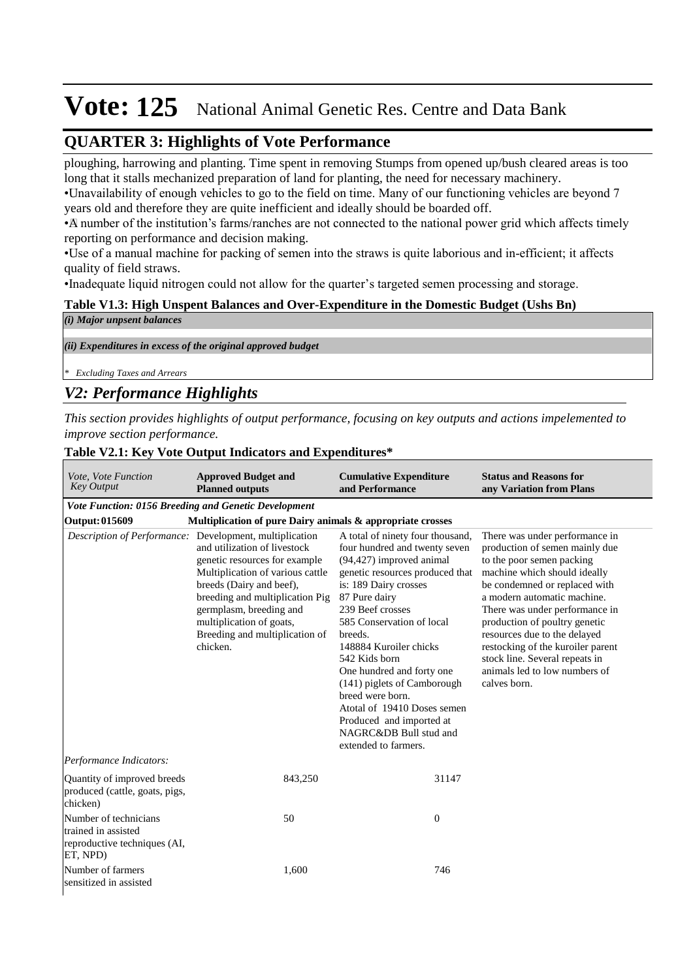## **QUARTER 3: Highlights of Vote Performance**

ploughing, harrowing and planting. Time spent in removing Stumps from opened up/bush cleared areas is too long that it stalls mechanized preparation of land for planting, the need for necessary machinery.

• Unavailability of enough vehicles to go to the field on time. Many of our functioning vehicles are beyond 7 years old and therefore they are quite inefficient and ideally should be boarded off.

• A number of the institution's farms/ranches are not connected to the national power grid which affects timely reporting on performance and decision making.

• Use of a manual machine for packing of semen into the straws is quite laborious and in-efficient; it affects quality of field straws.

•Inadequate liquid nitrogen could not allow for the quarter's targeted semen processing and storage.

#### **Table V1.3: High Unspent Balances and Over-Expenditure in the Domestic Budget (Ushs Bn)**

| (i) Major unpsent balances                                  |  |
|-------------------------------------------------------------|--|
|                                                             |  |
| (ii) Expenditures in excess of the original approved budget |  |
|                                                             |  |
| $\  * \text{ Excluding Taxes}$ and Arrears                  |  |
| $-1$                                                        |  |

## *V2: Performance Highlights*

*This section provides highlights of output performance, focusing on key outputs and actions impelemented to improve section performance.*

### **Table V2.1: Key Vote Output Indicators and Expenditures\***

| Vote, Vote Function<br><b>Key Output</b>                                                 | <b>Approved Budget and</b><br><b>Planned outputs</b>                                                                                                                                                                                                                                                                             | <b>Cumulative Expenditure</b><br>and Performance                                                                                                                                                                                                                                                                                                                                                                                                                               | <b>Status and Reasons for</b><br>any Variation from Plans                                                                                                                                                                                                                                                                                                                                                                |
|------------------------------------------------------------------------------------------|----------------------------------------------------------------------------------------------------------------------------------------------------------------------------------------------------------------------------------------------------------------------------------------------------------------------------------|--------------------------------------------------------------------------------------------------------------------------------------------------------------------------------------------------------------------------------------------------------------------------------------------------------------------------------------------------------------------------------------------------------------------------------------------------------------------------------|--------------------------------------------------------------------------------------------------------------------------------------------------------------------------------------------------------------------------------------------------------------------------------------------------------------------------------------------------------------------------------------------------------------------------|
| Vote Function: 0156 Breeding and Genetic Development                                     |                                                                                                                                                                                                                                                                                                                                  |                                                                                                                                                                                                                                                                                                                                                                                                                                                                                |                                                                                                                                                                                                                                                                                                                                                                                                                          |
| <b>Output: 015609</b>                                                                    | Multiplication of pure Dairy animals & appropriate crosses                                                                                                                                                                                                                                                                       |                                                                                                                                                                                                                                                                                                                                                                                                                                                                                |                                                                                                                                                                                                                                                                                                                                                                                                                          |
|                                                                                          | Description of Performance: Development, multiplication<br>and utilization of livestock<br>genetic resources for example<br>Multiplication of various cattle<br>breeds (Dairy and beef),<br>breeding and multiplication Pig<br>germplasm, breeding and<br>multiplication of goats,<br>Breeding and multiplication of<br>chicken. | A total of ninety four thousand,<br>four hundred and twenty seven<br>(94,427) improved animal<br>genetic resources produced that<br>is: 189 Dairy crosses<br>87 Pure dairy<br>239 Beef crosses<br>585 Conservation of local<br>breeds.<br>148884 Kuroiler chicks<br>542 Kids born<br>One hundred and forty one<br>(141) piglets of Camborough<br>breed were born.<br>Atotal of 19410 Doses semen<br>Produced and imported at<br>NAGRC&DB Bull stud and<br>extended to farmers. | There was under performance in<br>production of semen mainly due<br>to the poor semen packing<br>machine which should ideally<br>be condemned or replaced with<br>a modern automatic machine.<br>There was under performance in<br>production of poultry genetic<br>resources due to the delayed<br>restocking of the kuroiler parent<br>stock line. Several repeats in<br>animals led to low numbers of<br>calves born. |
| Performance Indicators:                                                                  |                                                                                                                                                                                                                                                                                                                                  |                                                                                                                                                                                                                                                                                                                                                                                                                                                                                |                                                                                                                                                                                                                                                                                                                                                                                                                          |
| Quantity of improved breeds<br>produced (cattle, goats, pigs,<br>chicken)                | 843,250                                                                                                                                                                                                                                                                                                                          | 31147                                                                                                                                                                                                                                                                                                                                                                                                                                                                          |                                                                                                                                                                                                                                                                                                                                                                                                                          |
| Number of technicians<br>trained in assisted<br>reproductive techniques (AI,<br>ET, NPD) | 50                                                                                                                                                                                                                                                                                                                               | $\mathbf{0}$                                                                                                                                                                                                                                                                                                                                                                                                                                                                   |                                                                                                                                                                                                                                                                                                                                                                                                                          |
| Number of farmers<br>sensitized in assisted                                              | 1.600                                                                                                                                                                                                                                                                                                                            | 746                                                                                                                                                                                                                                                                                                                                                                                                                                                                            |                                                                                                                                                                                                                                                                                                                                                                                                                          |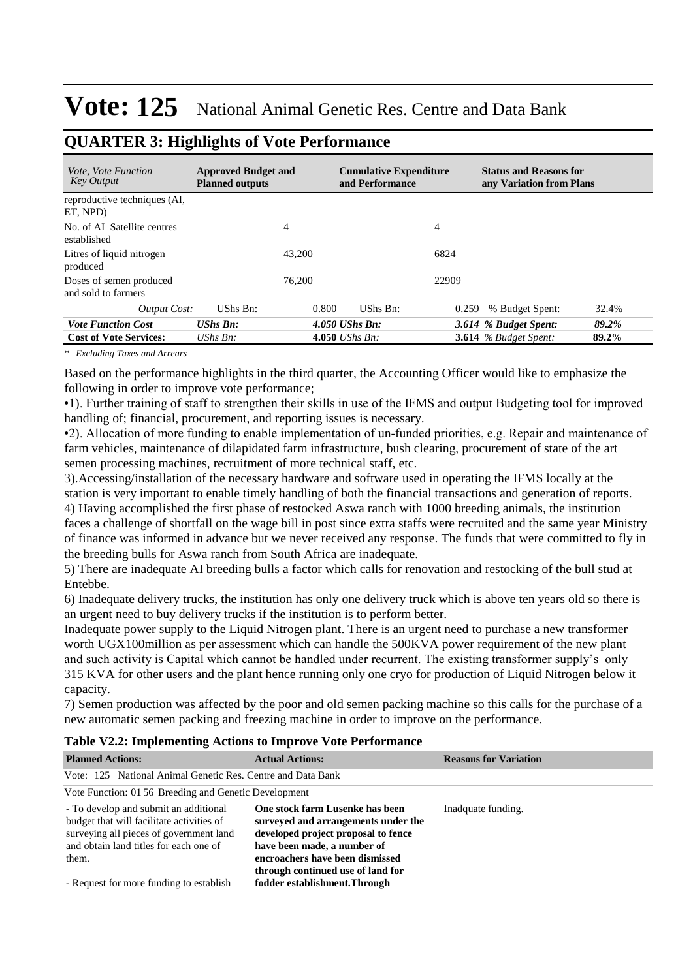| <i>Vote, Vote Function</i><br><b>Key Output</b> | <b>Approved Budget and</b><br><b>Planned outputs</b> |        | <b>Cumulative Expenditure</b><br>and Performance |       | <b>Status and Reasons for</b><br>any Variation from Plans |       |
|-------------------------------------------------|------------------------------------------------------|--------|--------------------------------------------------|-------|-----------------------------------------------------------|-------|
| reproductive techniques (AI,<br>ET. NPD)        |                                                      |        |                                                  |       |                                                           |       |
| No. of AI Satellite centres<br>established      |                                                      | 4      |                                                  | 4     |                                                           |       |
| Litres of liquid nitrogen<br>produced           |                                                      | 43,200 |                                                  | 6824  |                                                           |       |
| Doses of semen produced<br>and sold to farmers  |                                                      | 76,200 |                                                  | 22909 |                                                           |       |
| <b>Output Cost:</b>                             | UShs Bn:                                             | 0.800  | UShs Bn:                                         | 0.259 | % Budget Spent:                                           | 32.4% |
| <b>Vote Function Cost</b>                       | $UShs$ $Bn$ :                                        |        | $4.050$ UShs Bn:                                 |       | 3.614 % Budget Spent:                                     | 89.2% |
| <b>Cost of Vote Services:</b>                   | UShs $B_n$ :                                         |        | 4.050 <i>UShs Bn</i> :                           |       | <b>3.614</b> % Budget Spent:                              | 89.2% |

## **QUARTER 3: Highlights of Vote Performance**

*\* Excluding Taxes and Arrears*

Based on the performance highlights in the third quarter, the Accounting Officer would like to emphasize the following in order to improve vote performance;

•1). Further training of staff to strengthen their skills in use of the IFMS and output Budgeting tool for improved handling of; financial, procurement, and reporting issues is necessary.

•2). Allocation of more funding to enable implementation of un-funded priorities, e.g. Repair and maintenance of farm vehicles, maintenance of dilapidated farm infrastructure, bush clearing, procurement of state of the art semen processing machines, recruitment of more technical staff, etc.

3).Accessing/installation of the necessary hardware and software used in operating the IFMS locally at the station is very important to enable timely handling of both the financial transactions and generation of reports. 4) Having accomplished the first phase of restocked Aswa ranch with 1000 breeding animals, the institution

faces a challenge of shortfall on the wage bill in post since extra staffs were recruited and the same year Ministry of finance was informed in advance but we never received any response. The funds that were committed to fly in the breeding bulls for Aswa ranch from South Africa are inadequate.

5) There are inadequate AI breeding bulls a factor which calls for renovation and restocking of the bull stud at Entebbe.

6) Inadequate delivery trucks, the institution has only one delivery truck which is above ten years old so there is an urgent need to buy delivery trucks if the institution is to perform better.

Inadequate power supply to the Liquid Nitrogen plant. There is an urgent need to purchase a new transformer worth UGX100million as per assessment which can handle the 500KVA power requirement of the new plant and such activity is Capital which cannot be handled under recurrent. The existing transformer supply's only 315 KVA for other users and the plant hence running only one cryo for production of Liquid Nitrogen below it capacity.

7) Semen production was affected by the poor and old semen packing machine so this calls for the purchase of a new automatic semen packing and freezing machine in order to improve on the performance.

#### **Table V2.2: Implementing Actions to Improve Vote Performance**

| <b>Planned Actions:</b>                                                                                                                                                                                                     | <b>Actual Actions:</b>                                                                                                                                                                                                                                | <b>Reasons for Variation</b> |
|-----------------------------------------------------------------------------------------------------------------------------------------------------------------------------------------------------------------------------|-------------------------------------------------------------------------------------------------------------------------------------------------------------------------------------------------------------------------------------------------------|------------------------------|
| Vote: 125 National Animal Genetic Res. Centre and Data Bank                                                                                                                                                                 |                                                                                                                                                                                                                                                       |                              |
| Vote Function: 01 56 Breeding and Genetic Development                                                                                                                                                                       |                                                                                                                                                                                                                                                       |                              |
| - To develop and submit an additional<br>budget that will facilitate activities of<br>surveying all pieces of government land<br>and obtain land titles for each one of<br>them.<br>- Request for more funding to establish | One stock farm Lusenke has been<br>surveyed and arrangements under the<br>developed project proposal to fence<br>have been made, a number of<br>encroachers have been dismissed<br>through continued use of land for<br>fodder establishment. Through | Inadquate funding.           |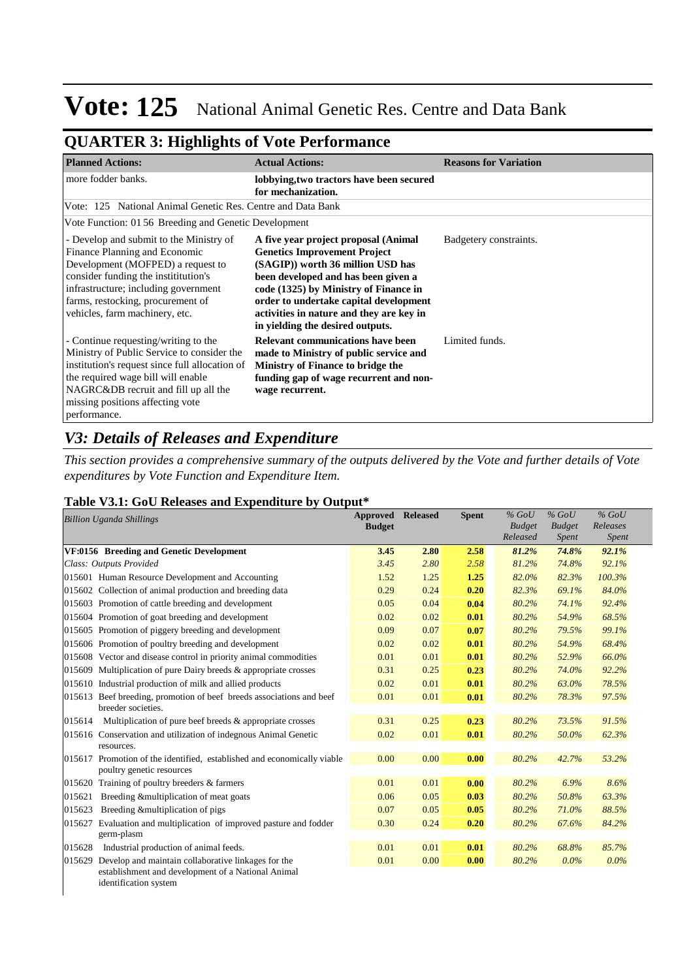## **QUARTER 3: Highlights of Vote Performance**

| <b>Planned Actions:</b>                                                                                                                                                                                                                                                | <b>Actual Actions:</b>                                                                                                                                                                                                                                                                                                     | <b>Reasons for Variation</b> |
|------------------------------------------------------------------------------------------------------------------------------------------------------------------------------------------------------------------------------------------------------------------------|----------------------------------------------------------------------------------------------------------------------------------------------------------------------------------------------------------------------------------------------------------------------------------------------------------------------------|------------------------------|
| more fodder banks.                                                                                                                                                                                                                                                     | lobbying, two tractors have been secured<br>for mechanization.                                                                                                                                                                                                                                                             |                              |
| Vote: 125 National Animal Genetic Res. Centre and Data Bank                                                                                                                                                                                                            |                                                                                                                                                                                                                                                                                                                            |                              |
| Vote Function: 01 56 Breeding and Genetic Development                                                                                                                                                                                                                  |                                                                                                                                                                                                                                                                                                                            |                              |
| - Develop and submit to the Ministry of<br>Finance Planning and Economic<br>Development (MOFPED) a request to<br>consider funding the institution's<br>infrastructure; including government<br>farms, restocking, procurement of<br>vehicles, farm machinery, etc.     | A five year project proposal (Animal<br><b>Genetics Improvement Project</b><br>(SAGIP)) worth 36 million USD has<br>been developed and has been given a<br>code (1325) by Ministry of Finance in<br>order to undertake capital development<br>activities in nature and they are key in<br>in yielding the desired outputs. | Badgetery constraints.       |
| - Continue requesting/writing to the<br>Ministry of Public Service to consider the<br>institution's request since full allocation of<br>the required wage bill will enable<br>NAGRC&DB recruit and fill up all the<br>missing positions affecting vote<br>performance. | <b>Relevant communications have been</b><br>made to Ministry of public service and<br>Ministry of Finance to bridge the<br>funding gap of wage recurrent and non-<br>wage recurrent.                                                                                                                                       | Limited funds.               |

## *V3: Details of Releases and Expenditure*

identification system

*This section provides a comprehensive summary of the outputs delivered by the Vote and further details of Vote expenditures by Vote Function and Expenditure Item.*

#### **Table V3.1: GoU Releases and Expenditure by Output\***

|        | <b>Billion Uganda Shillings</b>                                                                           | Approved<br><b>Budget</b> | <b>Released</b> | <b>Spent</b> | $%$ GoU<br><b>Budget</b><br>Released | $%$ GoU<br><b>Budget</b><br>Spent | $%$ GoU<br>Releases<br><b>Spent</b> |
|--------|-----------------------------------------------------------------------------------------------------------|---------------------------|-----------------|--------------|--------------------------------------|-----------------------------------|-------------------------------------|
|        | VF:0156 Breeding and Genetic Development                                                                  | 3.45                      | 2.80            | 2.58         | 81.2%                                | 74.8%                             | 92.1%                               |
|        | Class: Outputs Provided                                                                                   | 3.45                      | 2.80            | 2.58         | 81.2%                                | 74.8%                             | 92.1%                               |
|        | 015601 Human Resource Development and Accounting                                                          | 1.52                      | 1.25            | 1.25         | 82.0%                                | 82.3%                             | 100.3%                              |
|        | 015602 Collection of animal production and breeding data                                                  | 0.29                      | 0.24            | 0.20         | 82.3%                                | 69.1%                             | 84.0%                               |
|        | 015603 Promotion of cattle breeding and development                                                       | 0.05                      | 0.04            | 0.04         | 80.2%                                | 74.1%                             | 92.4%                               |
|        | 015604 Promotion of goat breeding and development                                                         | 0.02                      | 0.02            | 0.01         | 80.2%                                | 54.9%                             | 68.5%                               |
|        | 015605 Promotion of piggery breeding and development                                                      | 0.09                      | 0.07            | 0.07         | 80.2%                                | 79.5%                             | 99.1%                               |
|        | 015606 Promotion of poultry breeding and development                                                      | 0.02                      | 0.02            | 0.01         | 80.2%                                | 54.9%                             | 68.4%                               |
|        | 015608 Vector and disease control in priority animal commodities                                          | 0.01                      | 0.01            | 0.01         | 80.2%                                | 52.9%                             | 66.0%                               |
|        | 015609 Multiplication of pure Dairy breeds & appropriate crosses                                          | 0.31                      | 0.25            | 0.23         | 80.2%                                | 74.0%                             | 92.2%                               |
|        | 015610 Industrial production of milk and allied products                                                  | 0.02                      | 0.01            | 0.01         | 80.2%                                | 63.0%                             | 78.5%                               |
|        | 015613 Beef breeding, promotion of beef breeds associations and beef<br>breeder societies.                | 0.01                      | 0.01            | 0.01         | 80.2%                                | 78.3%                             | 97.5%                               |
| 015614 | Multiplication of pure beef breeds & appropriate crosses                                                  | 0.31                      | 0.25            | 0.23         | 80.2%                                | 73.5%                             | 91.5%                               |
|        | 015616 Conservation and utilization of indegnous Animal Genetic<br>resources.                             | 0.02                      | 0.01            | 0.01         | 80.2%                                | 50.0%                             | 62.3%                               |
|        | 015617 Promotion of the identified, established and economically viable<br>poultry genetic resources      | 0.00                      | 0.00            | 0.00         | 80.2%                                | 42.7%                             | 53.2%                               |
| 015620 | Training of poultry breeders & farmers                                                                    | 0.01                      | 0.01            | 0.00         | 80.2%                                | 6.9%                              | 8.6%                                |
| 015621 | Breeding & multiplication of meat goats                                                                   | 0.06                      | 0.05            | 0.03         | 80.2%                                | 50.8%                             | 63.3%                               |
| 015623 | Breeding & multiplication of pigs                                                                         | 0.07                      | 0.05            | 0.05         | 80.2%                                | 71.0%                             | 88.5%                               |
| 015627 | Evaluation and multiplication of improved pasture and fodder<br>germ-plasm                                | 0.30                      | 0.24            | 0.20         | 80.2%                                | 67.6%                             | 84.2%                               |
| 015628 | Industrial production of animal feeds.                                                                    | 0.01                      | 0.01            | 0.01         | 80.2%                                | 68.8%                             | 85.7%                               |
| 015629 | Develop and maintain collaborative linkages for the<br>establishment and development of a National Animal | 0.01                      | 0.00            | 0.00         | 80.2%                                | $0.0\%$                           | $0.0\%$                             |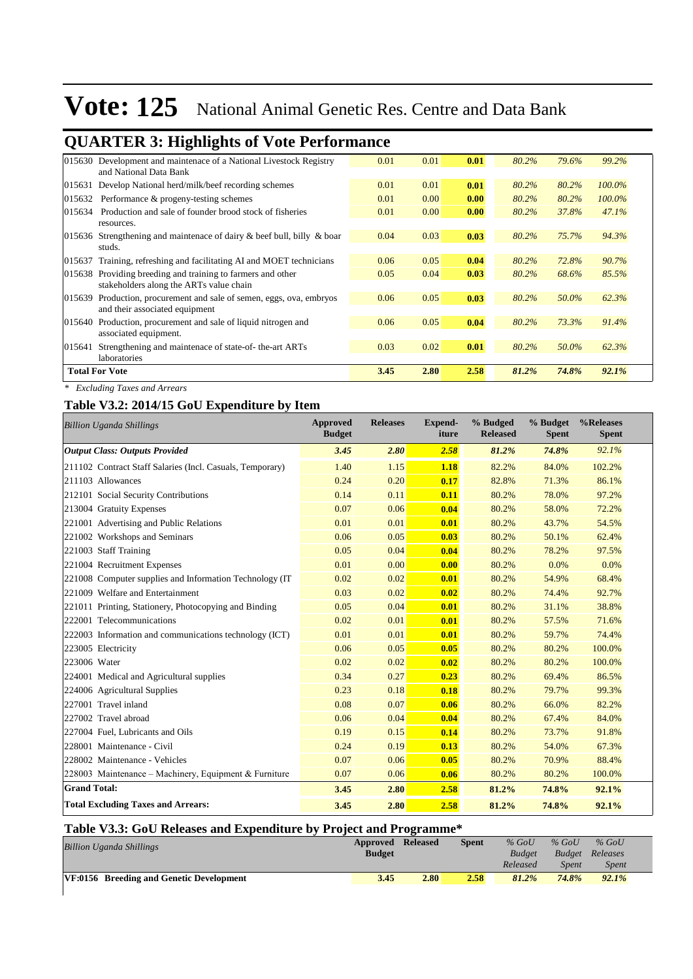|        | <b>QUARTER 3: Highlights of Vote Performance</b>                                                |      |      |      |       |       |           |
|--------|-------------------------------------------------------------------------------------------------|------|------|------|-------|-------|-----------|
|        | 015630 Development and maintenace of a National Livestock Registry<br>and National Data Bank    | 0.01 | 0.01 | 0.01 | 80.2% | 79.6% | 99.2%     |
| 015631 | Develop National herd/milk/beef recording schemes                                               | 0.01 | 0.01 | 0.01 | 80.2% | 80.2% | $100.0\%$ |
| 015632 | Performance & progeny-testing schemes                                                           | 0.01 | 0.00 | 0.00 | 80.2% | 80.2% | $100.0\%$ |
| 015634 | Production and sale of founder brood stock of fisheries<br>resources.                           | 0.01 | 0.00 | 0.00 | 80.2% | 37.8% | 47.1%     |
| 015636 | Strengthening and maintenace of dairy & beef bull, billy & boar<br>studs.                       | 0.04 | 0.03 | 0.03 | 80.2% | 75.7% | 94.3%     |
| 015637 | Training, refreshing and facilitating AI and MOET technicians                                   | 0.06 | 0.05 | 0.04 | 80.2% | 72.8% | 90.7%     |
| 015638 | Providing breeding and training to farmers and other<br>stakeholders along the ARTs value chain | 0.05 | 0.04 | 0.03 | 80.2% | 68.6% | 85.5%     |
| 015639 | Production, procurement and sale of semen, eggs, ova, embryos<br>and their associated equipment | 0.06 | 0.05 | 0.03 | 80.2% | 50.0% | 62.3%     |
| 015640 | Production, procurement and sale of liquid nitrogen and<br>associated equipment.                | 0.06 | 0.05 | 0.04 | 80.2% | 73.3% | 91.4%     |
| 015641 | Strengthening and maintenace of state-of-the-art ARTs<br>laboratories                           | 0.03 | 0.02 | 0.01 | 80.2% | 50.0% | 62.3%     |
|        | <b>Total For Vote</b>                                                                           | 3.45 | 2.80 | 2.58 | 81.2% | 74.8% | 92.1%     |

*\* Excluding Taxes and Arrears*

### **Table V3.2: 2014/15 GoU Expenditure by Item**

| <b>Billion Uganda Shillings</b>                           | <b>Approved</b><br><b>Budget</b> | <b>Releases</b> | <b>Expend-</b><br>iture | % Budged<br><b>Released</b> | % Budget<br><b>Spent</b> | %Releases<br><b>Spent</b> |
|-----------------------------------------------------------|----------------------------------|-----------------|-------------------------|-----------------------------|--------------------------|---------------------------|
| <b>Output Class: Outputs Provided</b>                     | 3.45                             | 2.80            | 2.58                    | 81.2%                       | 74.8%                    | 92.1%                     |
| 211102 Contract Staff Salaries (Incl. Casuals, Temporary) | 1.40                             | 1.15            | 1.18                    | 82.2%                       | 84.0%                    | 102.2%                    |
| 211103 Allowances                                         | 0.24                             | 0.20            | 0.17                    | 82.8%                       | 71.3%                    | 86.1%                     |
| 212101 Social Security Contributions                      | 0.14                             | 0.11            | 0.11                    | 80.2%                       | 78.0%                    | 97.2%                     |
| 213004 Gratuity Expenses                                  | 0.07                             | 0.06            | 0.04                    | 80.2%                       | 58.0%                    | 72.2%                     |
| 221001 Advertising and Public Relations                   | 0.01                             | 0.01            | 0.01                    | 80.2%                       | 43.7%                    | 54.5%                     |
| 221002 Workshops and Seminars                             | 0.06                             | 0.05            | 0.03                    | 80.2%                       | 50.1%                    | 62.4%                     |
| 221003 Staff Training                                     | 0.05                             | 0.04            | 0.04                    | 80.2%                       | 78.2%                    | 97.5%                     |
| 221004 Recruitment Expenses                               | 0.01                             | 0.00            | 0.00                    | 80.2%                       | 0.0%                     | 0.0%                      |
| 221008 Computer supplies and Information Technology (IT)  | 0.02                             | 0.02            | 0.01                    | 80.2%                       | 54.9%                    | 68.4%                     |
| 221009 Welfare and Entertainment                          | 0.03                             | 0.02            | 0.02                    | 80.2%                       | 74.4%                    | 92.7%                     |
| 221011 Printing, Stationery, Photocopying and Binding     | 0.05                             | 0.04            | 0.01                    | 80.2%                       | 31.1%                    | 38.8%                     |
| 222001 Telecommunications                                 | 0.02                             | 0.01            | 0.01                    | 80.2%                       | 57.5%                    | 71.6%                     |
| 222003 Information and communications technology (ICT)    | 0.01                             | 0.01            | 0.01                    | 80.2%                       | 59.7%                    | 74.4%                     |
| 223005 Electricity                                        | 0.06                             | 0.05            | 0.05                    | 80.2%                       | 80.2%                    | 100.0%                    |
| 223006 Water                                              | 0.02                             | 0.02            | 0.02                    | 80.2%                       | 80.2%                    | 100.0%                    |
| 224001 Medical and Agricultural supplies                  | 0.34                             | 0.27            | 0.23                    | 80.2%                       | 69.4%                    | 86.5%                     |
| 224006 Agricultural Supplies                              | 0.23                             | 0.18            | 0.18                    | 80.2%                       | 79.7%                    | 99.3%                     |
| 227001 Travel inland                                      | 0.08                             | 0.07            | 0.06                    | 80.2%                       | 66.0%                    | 82.2%                     |
| 227002 Travel abroad                                      | 0.06                             | 0.04            | 0.04                    | 80.2%                       | 67.4%                    | 84.0%                     |
| 227004 Fuel, Lubricants and Oils                          | 0.19                             | 0.15            | 0.14                    | 80.2%                       | 73.7%                    | 91.8%                     |
| 228001 Maintenance - Civil                                | 0.24                             | 0.19            | 0.13                    | 80.2%                       | 54.0%                    | 67.3%                     |
| 228002 Maintenance - Vehicles                             | 0.07                             | 0.06            | 0.05                    | 80.2%                       | 70.9%                    | 88.4%                     |
| 228003 Maintenance - Machinery, Equipment & Furniture     | 0.07                             | 0.06            | 0.06                    | 80.2%                       | 80.2%                    | 100.0%                    |
| <b>Grand Total:</b>                                       | 3.45                             | 2.80            | 2.58                    | 81.2%                       | 74.8%                    | 92.1%                     |
| <b>Total Excluding Taxes and Arrears:</b>                 | 3.45                             | 2.80            | 2.58                    | 81.2%                       | 74.8%                    | 92.1%                     |

### **Table V3.3: GoU Releases and Expenditure by Project and Programme\***

| <b>Billion Uganda Shillings</b>          | <b>Approved Released</b><br><b>Budget</b> |      | <b>Spent</b> | $%$ GoU<br><b>Budget</b> | $%$ GoU<br><b>Budget</b> | $%$ GoU<br>Releases |
|------------------------------------------|-------------------------------------------|------|--------------|--------------------------|--------------------------|---------------------|
|                                          |                                           |      |              | Released                 | <b>Spent</b>             | <i>Spent</i>        |
| VF:0156 Breeding and Genetic Development | 3.45                                      | 2.80 | 2.58         | 81.2%                    | 74.8%                    | 92.1%               |
|                                          |                                           |      |              |                          |                          |                     |